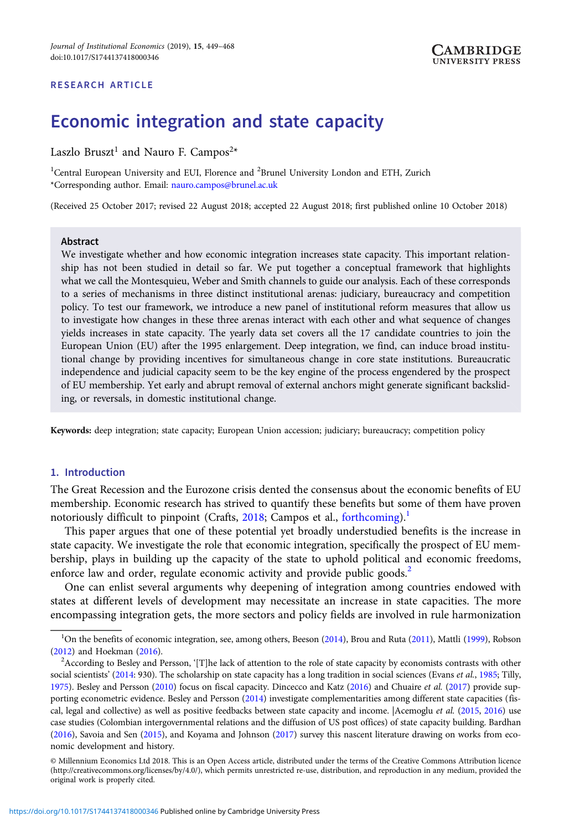# Economic integration and state capacity

Laszlo Bruszt<sup>1</sup> and Nauro F. Campos<sup>2\*</sup>

<sup>1</sup>Central European University and EUI, Florence and <sup>2</sup>Brunel University London and ETH, Zurich \*Corresponding author. Email: [nauro.campos@brunel.ac.uk](mailto:nauro.campos@brunel.ac.uk)

(Received 25 October 2017; revised 22 August 2018; accepted 22 August 2018; first published online 10 October 2018)

### Abstract

We investigate whether and how economic integration increases state capacity. This important relationship has not been studied in detail so far. We put together a conceptual framework that highlights what we call the Montesquieu, Weber and Smith channels to guide our analysis. Each of these corresponds to a series of mechanisms in three distinct institutional arenas: judiciary, bureaucracy and competition policy. To test our framework, we introduce a new panel of institutional reform measures that allow us to investigate how changes in these three arenas interact with each other and what sequence of changes yields increases in state capacity. The yearly data set covers all the 17 candidate countries to join the European Union (EU) after the 1995 enlargement. Deep integration, we find, can induce broad institutional change by providing incentives for simultaneous change in core state institutions. Bureaucratic independence and judicial capacity seem to be the key engine of the process engendered by the prospect of EU membership. Yet early and abrupt removal of external anchors might generate significant backsliding, or reversals, in domestic institutional change.

Keywords: deep integration; state capacity; European Union accession; judiciary; bureaucracy; competition policy

## 1. Introduction

The Great Recession and the Eurozone crisis dented the consensus about the economic benefits of EU membership. Economic research has strived to quantify these benefits but some of them have proven notoriously difficult to pinpoint (Crafts, [2018;](#page-18-0) Campos et al., [forthcoming\)](#page-18-0).<sup>1</sup>

This paper argues that one of these potential yet broadly understudied benefits is the increase in state capacity. We investigate the role that economic integration, specifically the prospect of EU membership, plays in building up the capacity of the state to uphold political and economic freedoms, enforce law and order, regulate economic activity and provide public goods.<sup>2</sup>

One can enlist several arguments why deepening of integration among countries endowed with states at different levels of development may necessitate an increase in state capacities. The more encompassing integration gets, the more sectors and policy fields are involved in rule harmonization

<sup>&</sup>lt;sup>1</sup>On the benefits of economic integration, see, among others, Beeson ([2014](#page-18-0)), Brou and Ruta [\(2011](#page-18-0)), Mattli ([1999\)](#page-19-0), Robson  $(2012)$  and Hoekman  $(2016)$  $(2016)$ .

<sup>&</sup>lt;sup>2</sup> According to Besley and Persson, '[T]he lack of attention to the role of state capacity by economists contrasts with other social scientists' [\(2014:](#page-18-0) 930). The scholarship on state capacity has a long tradition in social sciences (Evans et al., [1985](#page-18-0); Tilly, [1975\)](#page-19-0). Besley and Persson ([2010](#page-18-0)) focus on fiscal capacity. Dincecco and Katz [\(2016\)](#page-18-0) and Chuaire et al. ([2017\)](#page-18-0) provide sup-porting econometric evidence. Besley and Persson ([2014](#page-18-0)) investigate complementarities among different state capacities (fis-cal, legal and collective) as well as positive feedbacks between state capacity and income. [Acemoglu et al. ([2015](#page-18-0), [2016\)](#page-18-0) use case studies (Colombian intergovernmental relations and the diffusion of US post offices) of state capacity building. Bardhan [\(2016\)](#page-18-0), Savoia and Sen [\(2015](#page-19-0)), and Koyama and Johnson [\(2017\)](#page-18-0) survey this nascent literature drawing on works from economic development and history.

<sup>©</sup> Millennium Economics Ltd 2018. This is an Open Access article, distributed under the terms of the Creative Commons Attribution licence (http://creativecommons.org/licenses/by/4.0/), which permits unrestricted re-use, distribution, and reproduction in any medium, provided the original work is properly cited.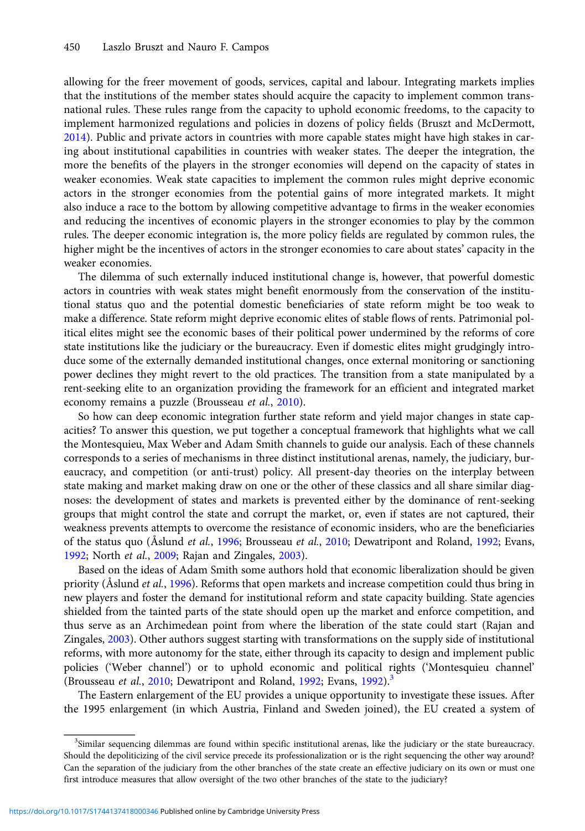allowing for the freer movement of goods, services, capital and labour. Integrating markets implies that the institutions of the member states should acquire the capacity to implement common transnational rules. These rules range from the capacity to uphold economic freedoms, to the capacity to implement harmonized regulations and policies in dozens of policy fields (Bruszt and McDermott, [2014\)](#page-18-0). Public and private actors in countries with more capable states might have high stakes in caring about institutional capabilities in countries with weaker states. The deeper the integration, the more the benefits of the players in the stronger economies will depend on the capacity of states in weaker economies. Weak state capacities to implement the common rules might deprive economic actors in the stronger economies from the potential gains of more integrated markets. It might also induce a race to the bottom by allowing competitive advantage to firms in the weaker economies and reducing the incentives of economic players in the stronger economies to play by the common rules. The deeper economic integration is, the more policy fields are regulated by common rules, the higher might be the incentives of actors in the stronger economies to care about states' capacity in the weaker economies.

The dilemma of such externally induced institutional change is, however, that powerful domestic actors in countries with weak states might benefit enormously from the conservation of the institutional status quo and the potential domestic beneficiaries of state reform might be too weak to make a difference. State reform might deprive economic elites of stable flows of rents. Patrimonial political elites might see the economic bases of their political power undermined by the reforms of core state institutions like the judiciary or the bureaucracy. Even if domestic elites might grudgingly introduce some of the externally demanded institutional changes, once external monitoring or sanctioning power declines they might revert to the old practices. The transition from a state manipulated by a rent-seeking elite to an organization providing the framework for an efficient and integrated market economy remains a puzzle (Brousseau et al., [2010](#page-18-0)).

So how can deep economic integration further state reform and yield major changes in state capacities? To answer this question, we put together a conceptual framework that highlights what we call the Montesquieu, Max Weber and Adam Smith channels to guide our analysis. Each of these channels corresponds to a series of mechanisms in three distinct institutional arenas, namely, the judiciary, bureaucracy, and competition (or anti-trust) policy. All present-day theories on the interplay between state making and market making draw on one or the other of these classics and all share similar diagnoses: the development of states and markets is prevented either by the dominance of rent-seeking groups that might control the state and corrupt the market, or, even if states are not captured, their weakness prevents attempts to overcome the resistance of economic insiders, who are the beneficiaries of the status quo (Åslund et al., [1996;](#page-18-0) Brousseau et al., [2010](#page-18-0); Dewatripont and Roland, [1992](#page-18-0); Evans, [1992;](#page-18-0) North et al., [2009;](#page-19-0) Rajan and Zingales, [2003\)](#page-19-0).

Based on the ideas of Adam Smith some authors hold that economic liberalization should be given priority (Åslund et al., [1996](#page-18-0)). Reforms that open markets and increase competition could thus bring in new players and foster the demand for institutional reform and state capacity building. State agencies shielded from the tainted parts of the state should open up the market and enforce competition, and thus serve as an Archimedean point from where the liberation of the state could start (Rajan and Zingales, [2003\)](#page-19-0). Other authors suggest starting with transformations on the supply side of institutional reforms, with more autonomy for the state, either through its capacity to design and implement public policies ('Weber channel') or to uphold economic and political rights ('Montesquieu channel' (Brousseau et al., [2010;](#page-18-0) Dewatripont and Roland, [1992;](#page-18-0) Evans, [1992](#page-18-0)).<sup>3</sup>

The Eastern enlargement of the EU provides a unique opportunity to investigate these issues. After the 1995 enlargement (in which Austria, Finland and Sweden joined), the EU created a system of

<sup>3</sup> Similar sequencing dilemmas are found within specific institutional arenas, like the judiciary or the state bureaucracy. Should the depoliticizing of the civil service precede its professionalization or is the right sequencing the other way around? Can the separation of the judiciary from the other branches of the state create an effective judiciary on its own or must one first introduce measures that allow oversight of the two other branches of the state to the judiciary?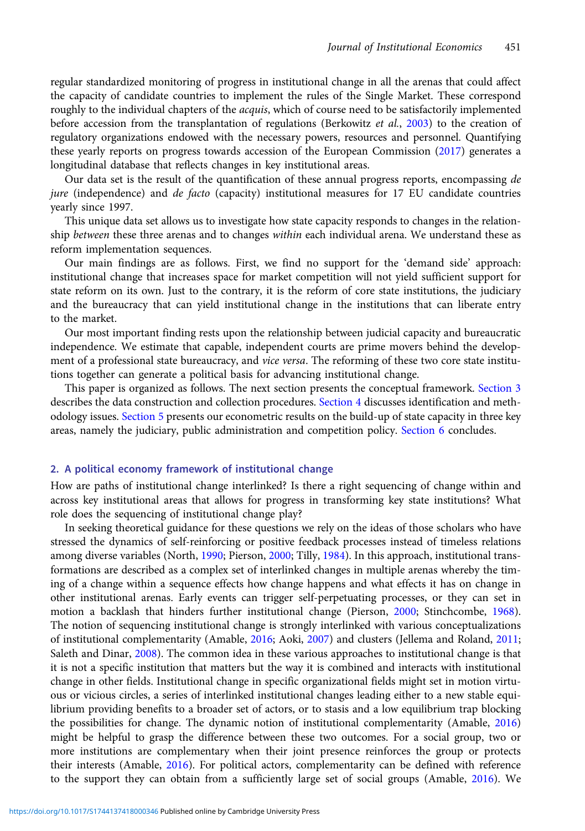regular standardized monitoring of progress in institutional change in all the arenas that could affect the capacity of candidate countries to implement the rules of the Single Market. These correspond roughly to the individual chapters of the *acquis*, which of course need to be satisfactorily implemented before accession from the transplantation of regulations (Berkowitz *et al.*, [2003](#page-18-0)) to the creation of regulatory organizations endowed with the necessary powers, resources and personnel. Quantifying these yearly reports on progress towards accession of the European Commission [\(2017\)](#page-18-0) generates a longitudinal database that reflects changes in key institutional areas.

Our data set is the result of the quantification of these annual progress reports, encompassing de jure (independence) and de facto (capacity) institutional measures for 17 EU candidate countries yearly since 1997.

This unique data set allows us to investigate how state capacity responds to changes in the relationship between these three arenas and to changes within each individual arena. We understand these as reform implementation sequences.

Our main findings are as follows. First, we find no support for the 'demand side' approach: institutional change that increases space for market competition will not yield sufficient support for state reform on its own. Just to the contrary, it is the reform of core state institutions, the judiciary and the bureaucracy that can yield institutional change in the institutions that can liberate entry to the market.

Our most important finding rests upon the relationship between judicial capacity and bureaucratic independence. We estimate that capable, independent courts are prime movers behind the development of a professional state bureaucracy, and vice versa. The reforming of these two core state institutions together can generate a political basis for advancing institutional change.

This paper is organized as follows. The next section presents the conceptual framework. [Section 3](#page-6-0) describes the data construction and collection procedures. [Section 4](#page-9-0) discusses identification and methodology issues. [Section 5](#page-11-0) presents our econometric results on the build-up of state capacity in three key areas, namely the judiciary, public administration and competition policy. [Section 6](#page-17-0) concludes.

## 2. A political economy framework of institutional change

How are paths of institutional change interlinked? Is there a right sequencing of change within and across key institutional areas that allows for progress in transforming key state institutions? What role does the sequencing of institutional change play?

In seeking theoretical guidance for these questions we rely on the ideas of those scholars who have stressed the dynamics of self-reinforcing or positive feedback processes instead of timeless relations among diverse variables (North, [1990](#page-19-0); Pierson, [2000](#page-19-0); Tilly, [1984\)](#page-19-0). In this approach, institutional transformations are described as a complex set of interlinked changes in multiple arenas whereby the timing of a change within a sequence effects how change happens and what effects it has on change in other institutional arenas. Early events can trigger self-perpetuating processes, or they can set in motion a backlash that hinders further institutional change (Pierson, [2000;](#page-19-0) Stinchcombe, [1968\)](#page-19-0). The notion of sequencing institutional change is strongly interlinked with various conceptualizations of institutional complementarity (Amable, [2016](#page-18-0); Aoki, [2007\)](#page-18-0) and clusters (Jellema and Roland, [2011](#page-18-0); Saleth and Dinar, [2008](#page-19-0)). The common idea in these various approaches to institutional change is that it is not a specific institution that matters but the way it is combined and interacts with institutional change in other fields. Institutional change in specific organizational fields might set in motion virtuous or vicious circles, a series of interlinked institutional changes leading either to a new stable equilibrium providing benefits to a broader set of actors, or to stasis and a low equilibrium trap blocking the possibilities for change. The dynamic notion of institutional complementarity (Amable, [2016](#page-18-0)) might be helpful to grasp the difference between these two outcomes. For a social group, two or more institutions are complementary when their joint presence reinforces the group or protects their interests (Amable, [2016\)](#page-18-0). For political actors, complementarity can be defined with reference to the support they can obtain from a sufficiently large set of social groups (Amable, [2016](#page-18-0)). We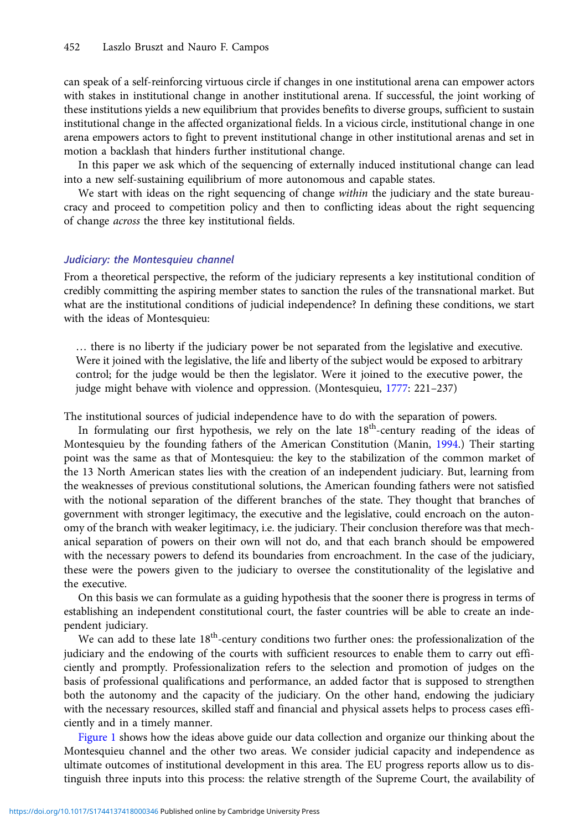can speak of a self-reinforcing virtuous circle if changes in one institutional arena can empower actors with stakes in institutional change in another institutional arena. If successful, the joint working of these institutions yields a new equilibrium that provides benefits to diverse groups, sufficient to sustain institutional change in the affected organizational fields. In a vicious circle, institutional change in one arena empowers actors to fight to prevent institutional change in other institutional arenas and set in motion a backlash that hinders further institutional change.

In this paper we ask which of the sequencing of externally induced institutional change can lead into a new self-sustaining equilibrium of more autonomous and capable states.

We start with ideas on the right sequencing of change within the judiciary and the state bureaucracy and proceed to competition policy and then to conflicting ideas about the right sequencing of change across the three key institutional fields.

#### Judiciary: the Montesquieu channel

From a theoretical perspective, the reform of the judiciary represents a key institutional condition of credibly committing the aspiring member states to sanction the rules of the transnational market. But what are the institutional conditions of judicial independence? In defining these conditions, we start with the ideas of Montesquieu:

… there is no liberty if the judiciary power be not separated from the legislative and executive. Were it joined with the legislative, the life and liberty of the subject would be exposed to arbitrary control; for the judge would be then the legislator. Were it joined to the executive power, the judge might behave with violence and oppression. (Montesquieu, [1777:](#page-19-0) 221–237)

The institutional sources of judicial independence have to do with the separation of powers.

In formulating our first hypothesis, we rely on the late 18<sup>th</sup>-century reading of the ideas of Montesquieu by the founding fathers of the American Constitution (Manin, [1994](#page-18-0).) Their starting point was the same as that of Montesquieu: the key to the stabilization of the common market of the 13 North American states lies with the creation of an independent judiciary. But, learning from the weaknesses of previous constitutional solutions, the American founding fathers were not satisfied with the notional separation of the different branches of the state. They thought that branches of government with stronger legitimacy, the executive and the legislative, could encroach on the autonomy of the branch with weaker legitimacy, i.e. the judiciary. Their conclusion therefore was that mechanical separation of powers on their own will not do, and that each branch should be empowered with the necessary powers to defend its boundaries from encroachment. In the case of the judiciary, these were the powers given to the judiciary to oversee the constitutionality of the legislative and the executive.

On this basis we can formulate as a guiding hypothesis that the sooner there is progress in terms of establishing an independent constitutional court, the faster countries will be able to create an independent judiciary.

We can add to these late  $18<sup>th</sup>$ -century conditions two further ones: the professionalization of the judiciary and the endowing of the courts with sufficient resources to enable them to carry out efficiently and promptly. Professionalization refers to the selection and promotion of judges on the basis of professional qualifications and performance, an added factor that is supposed to strengthen both the autonomy and the capacity of the judiciary. On the other hand, endowing the judiciary with the necessary resources, skilled staff and financial and physical assets helps to process cases efficiently and in a timely manner.

[Figure 1](#page-4-0) shows how the ideas above guide our data collection and organize our thinking about the Montesquieu channel and the other two areas. We consider judicial capacity and independence as ultimate outcomes of institutional development in this area. The EU progress reports allow us to distinguish three inputs into this process: the relative strength of the Supreme Court, the availability of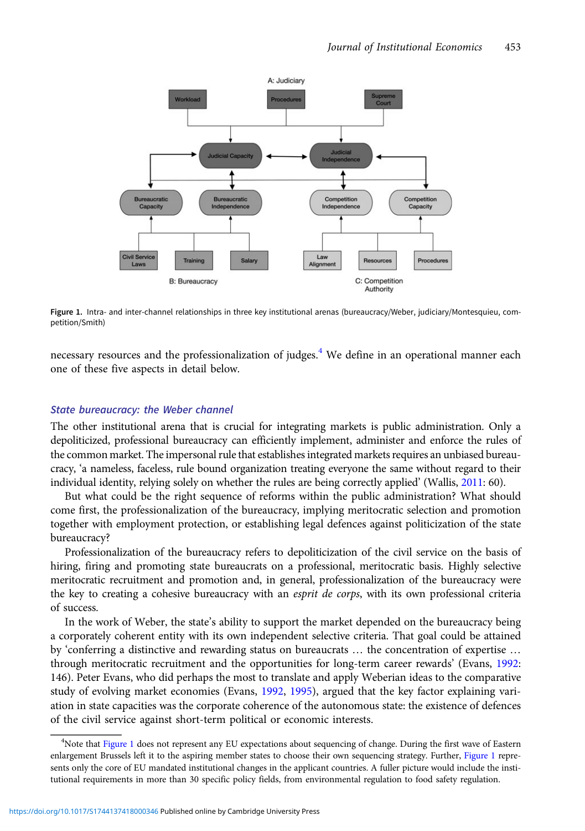<span id="page-4-0"></span>

Figure 1. Intra- and inter-channel relationships in three key institutional arenas (bureaucracy/Weber, judiciary/Montesquieu, competition/Smith)

necessary resources and the professionalization of judges.<sup>4</sup> We define in an operational manner each one of these five aspects in detail below.

#### State bureaucracy: the Weber channel

The other institutional arena that is crucial for integrating markets is public administration. Only a depoliticized, professional bureaucracy can efficiently implement, administer and enforce the rules of the common market. The impersonal rule that establishes integrated markets requires an unbiased bureaucracy, 'a nameless, faceless, rule bound organization treating everyone the same without regard to their individual identity, relying solely on whether the rules are being correctly applied' (Wallis, [2011](#page-19-0): 60).

But what could be the right sequence of reforms within the public administration? What should come first, the professionalization of the bureaucracy, implying meritocratic selection and promotion together with employment protection, or establishing legal defences against politicization of the state bureaucracy?

Professionalization of the bureaucracy refers to depoliticization of the civil service on the basis of hiring, firing and promoting state bureaucrats on a professional, meritocratic basis. Highly selective meritocratic recruitment and promotion and, in general, professionalization of the bureaucracy were the key to creating a cohesive bureaucracy with an *esprit de corps*, with its own professional criteria of success.

In the work of Weber, the state's ability to support the market depended on the bureaucracy being a corporately coherent entity with its own independent selective criteria. That goal could be attained by 'conferring a distinctive and rewarding status on bureaucrats … the concentration of expertise … through meritocratic recruitment and the opportunities for long-term career rewards' (Evans, [1992](#page-18-0): 146). Peter Evans, who did perhaps the most to translate and apply Weberian ideas to the comparative study of evolving market economies (Evans, [1992](#page-18-0), [1995](#page-18-0)), argued that the key factor explaining variation in state capacities was the corporate coherence of the autonomous state: the existence of defences of the civil service against short-term political or economic interests.

<sup>4</sup> Note that Figure 1 does not represent any EU expectations about sequencing of change. During the first wave of Eastern enlargement Brussels left it to the aspiring member states to choose their own sequencing strategy. Further, Figure 1 represents only the core of EU mandated institutional changes in the applicant countries. A fuller picture would include the institutional requirements in more than 30 specific policy fields, from environmental regulation to food safety regulation.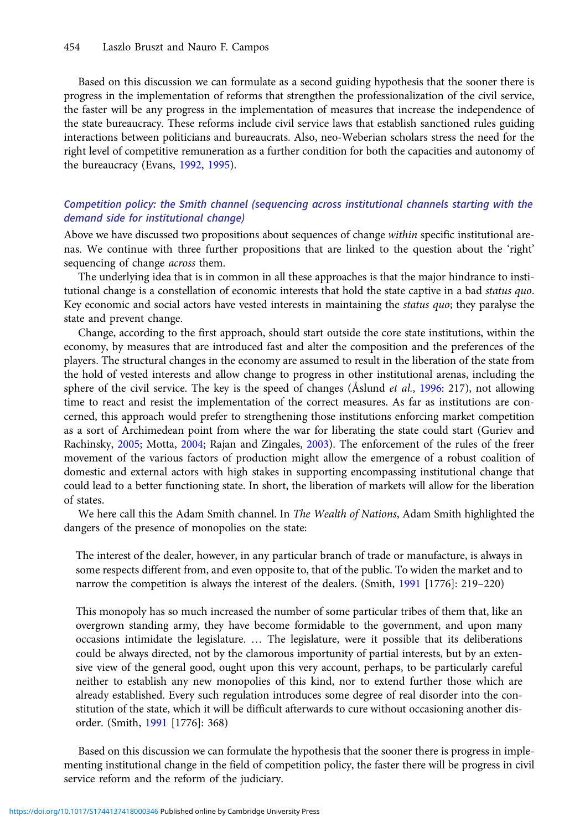Based on this discussion we can formulate as a second guiding hypothesis that the sooner there is progress in the implementation of reforms that strengthen the professionalization of the civil service, the faster will be any progress in the implementation of measures that increase the independence of the state bureaucracy. These reforms include civil service laws that establish sanctioned rules guiding interactions between politicians and bureaucrats. Also, neo-Weberian scholars stress the need for the right level of competitive remuneration as a further condition for both the capacities and autonomy of the bureaucracy (Evans, [1992,](#page-18-0) [1995\)](#page-18-0).

# Competition policy: the Smith channel (sequencing across institutional channels starting with the demand side for institutional change)

Above we have discussed two propositions about sequences of change within specific institutional arenas. We continue with three further propositions that are linked to the question about the 'right' sequencing of change *across* them.

The underlying idea that is in common in all these approaches is that the major hindrance to institutional change is a constellation of economic interests that hold the state captive in a bad status quo. Key economic and social actors have vested interests in maintaining the *status quo*; they paralyse the state and prevent change.

Change, according to the first approach, should start outside the core state institutions, within the economy, by measures that are introduced fast and alter the composition and the preferences of the players. The structural changes in the economy are assumed to result in the liberation of the state from the hold of vested interests and allow change to progress in other institutional arenas, including the sphere of the civil service. The key is the speed of changes (Aslund *et al.*, [1996](#page-18-0): 217), not allowing time to react and resist the implementation of the correct measures. As far as institutions are concerned, this approach would prefer to strengthening those institutions enforcing market competition as a sort of Archimedean point from where the war for liberating the state could start (Guriev and Rachinsky, [2005;](#page-18-0) Motta, [2004](#page-19-0); Rajan and Zingales, [2003](#page-19-0)). The enforcement of the rules of the freer movement of the various factors of production might allow the emergence of a robust coalition of domestic and external actors with high stakes in supporting encompassing institutional change that could lead to a better functioning state. In short, the liberation of markets will allow for the liberation of states.

We here call this the Adam Smith channel. In The Wealth of Nations, Adam Smith highlighted the dangers of the presence of monopolies on the state:

The interest of the dealer, however, in any particular branch of trade or manufacture, is always in some respects different from, and even opposite to, that of the public. To widen the market and to narrow the competition is always the interest of the dealers. (Smith, [1991](#page-19-0) [1776]: 219–220)

This monopoly has so much increased the number of some particular tribes of them that, like an overgrown standing army, they have become formidable to the government, and upon many occasions intimidate the legislature. … The legislature, were it possible that its deliberations could be always directed, not by the clamorous importunity of partial interests, but by an extensive view of the general good, ought upon this very account, perhaps, to be particularly careful neither to establish any new monopolies of this kind, nor to extend further those which are already established. Every such regulation introduces some degree of real disorder into the constitution of the state, which it will be difficult afterwards to cure without occasioning another disorder. (Smith, [1991](#page-19-0) [1776]: 368)

Based on this discussion we can formulate the hypothesis that the sooner there is progress in implementing institutional change in the field of competition policy, the faster there will be progress in civil service reform and the reform of the judiciary.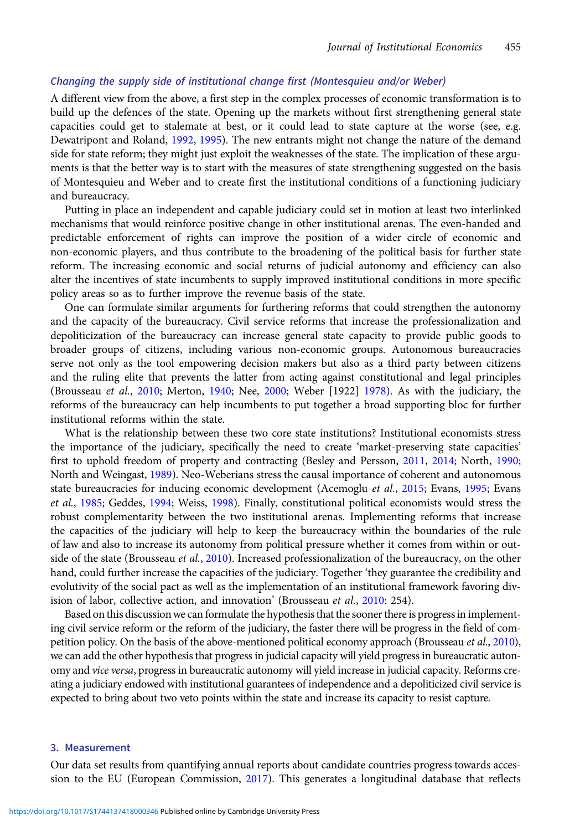## <span id="page-6-0"></span>Changing the supply side of institutional change first (Montesquieu and/or Weber)

A different view from the above, a first step in the complex processes of economic transformation is to build up the defences of the state. Opening up the markets without first strengthening general state capacities could get to stalemate at best, or it could lead to state capture at the worse (see, e.g. Dewatripont and Roland, [1992](#page-18-0), [1995](#page-18-0)). The new entrants might not change the nature of the demand side for state reform; they might just exploit the weaknesses of the state. The implication of these arguments is that the better way is to start with the measures of state strengthening suggested on the basis of Montesquieu and Weber and to create first the institutional conditions of a functioning judiciary and bureaucracy.

Putting in place an independent and capable judiciary could set in motion at least two interlinked mechanisms that would reinforce positive change in other institutional arenas. The even-handed and predictable enforcement of rights can improve the position of a wider circle of economic and non-economic players, and thus contribute to the broadening of the political basis for further state reform. The increasing economic and social returns of judicial autonomy and efficiency can also alter the incentives of state incumbents to supply improved institutional conditions in more specific policy areas so as to further improve the revenue basis of the state.

One can formulate similar arguments for furthering reforms that could strengthen the autonomy and the capacity of the bureaucracy. Civil service reforms that increase the professionalization and depoliticization of the bureaucracy can increase general state capacity to provide public goods to broader groups of citizens, including various non-economic groups. Autonomous bureaucracies serve not only as the tool empowering decision makers but also as a third party between citizens and the ruling elite that prevents the latter from acting against constitutional and legal principles (Brousseau et al., [2010;](#page-18-0) Merton, [1940](#page-19-0); Nee, [2000;](#page-19-0) Weber [1922] [1978\)](#page-19-0). As with the judiciary, the reforms of the bureaucracy can help incumbents to put together a broad supporting bloc for further institutional reforms within the state.

What is the relationship between these two core state institutions? Institutional economists stress the importance of the judiciary, specifically the need to create 'market-preserving state capacities' first to uphold freedom of property and contracting (Besley and Persson, [2011,](#page-18-0) [2014](#page-18-0); North, [1990](#page-19-0); North and Weingast, [1989](#page-19-0)). Neo-Weberians stress the causal importance of coherent and autonomous state bureaucracies for inducing economic development (Acemoglu et al., [2015;](#page-18-0) Evans, [1995;](#page-18-0) Evans et al., [1985](#page-18-0); Geddes, [1994;](#page-18-0) Weiss, [1998\)](#page-19-0). Finally, constitutional political economists would stress the robust complementarity between the two institutional arenas. Implementing reforms that increase the capacities of the judiciary will help to keep the bureaucracy within the boundaries of the rule of law and also to increase its autonomy from political pressure whether it comes from within or out-side of the state (Brousseau et al., [2010](#page-18-0)). Increased professionalization of the bureaucracy, on the other hand, could further increase the capacities of the judiciary. Together 'they guarantee the credibility and evolutivity of the social pact as well as the implementation of an institutional framework favoring div-ision of labor, collective action, and innovation' (Brousseau et al., [2010](#page-18-0): 254).

Based on this discussion we can formulate the hypothesis that the sooner there is progress in implementing civil service reform or the reform of the judiciary, the faster there will be progress in the field of com-petition policy. On the basis of the above-mentioned political economy approach (Brousseau et al., [2010\)](#page-18-0), we can add the other hypothesis that progress in judicial capacity will yield progress in bureaucratic autonomy and vice versa, progress in bureaucratic autonomy will yield increase in judicial capacity. Reforms creating a judiciary endowed with institutional guarantees of independence and a depoliticized civil service is expected to bring about two veto points within the state and increase its capacity to resist capture.

# 3. Measurement

Our data set results from quantifying annual reports about candidate countries progress towards accession to the EU (European Commission, [2017](#page-18-0)). This generates a longitudinal database that reflects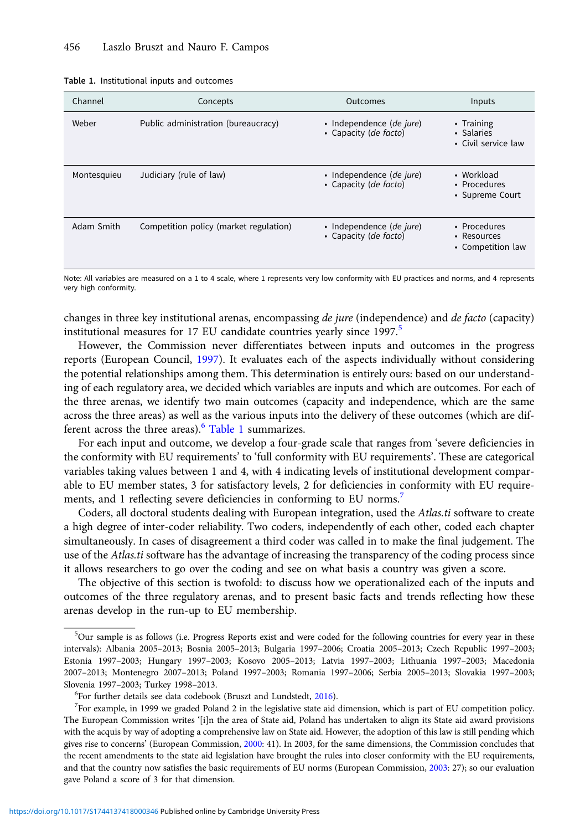|  |  | <b>Table 1.</b> Institutional inputs and outcomes |  |  |  |
|--|--|---------------------------------------------------|--|--|--|
|--|--|---------------------------------------------------|--|--|--|

| Channel     | Concepts                               | Outcomes                                          | Inputs                                           |
|-------------|----------------------------------------|---------------------------------------------------|--------------------------------------------------|
| Weber       | Public administration (bureaucracy)    | · Independence (de jure)<br>• Capacity (de facto) | • Training<br>• Salaries<br>• Civil service law  |
| Montesquieu | Judiciary (rule of law)                | · Independence (de jure)<br>• Capacity (de facto) | • Workload<br>• Procedures<br>• Supreme Court    |
| Adam Smith  | Competition policy (market regulation) | · Independence (de jure)<br>• Capacity (de facto) | • Procedures<br>• Resources<br>• Competition law |

Note: All variables are measured on a 1 to 4 scale, where 1 represents very low conformity with EU practices and norms, and 4 represents very high conformity.

changes in three key institutional arenas, encompassing de jure (independence) and de facto (capacity) institutional measures for 17 EU candidate countries yearly since 1997.<sup>5</sup>

However, the Commission never differentiates between inputs and outcomes in the progress reports (European Council, [1997](#page-18-0)). It evaluates each of the aspects individually without considering the potential relationships among them. This determination is entirely ours: based on our understanding of each regulatory area, we decided which variables are inputs and which are outcomes. For each of the three arenas, we identify two main outcomes (capacity and independence, which are the same across the three areas) as well as the various inputs into the delivery of these outcomes (which are different across the three areas).<sup>6</sup> Table 1 summarizes.

For each input and outcome, we develop a four-grade scale that ranges from 'severe deficiencies in the conformity with EU requirements' to 'full conformity with EU requirements'. These are categorical variables taking values between 1 and 4, with 4 indicating levels of institutional development comparable to EU member states, 3 for satisfactory levels, 2 for deficiencies in conformity with EU requirements, and 1 reflecting severe deficiencies in conforming to EU norms.<sup>7</sup>

Coders, all doctoral students dealing with European integration, used the Atlas.ti software to create a high degree of inter-coder reliability. Two coders, independently of each other, coded each chapter simultaneously. In cases of disagreement a third coder was called in to make the final judgement. The use of the Atlas.ti software has the advantage of increasing the transparency of the coding process since it allows researchers to go over the coding and see on what basis a country was given a score.

The objective of this section is twofold: to discuss how we operationalized each of the inputs and outcomes of the three regulatory arenas, and to present basic facts and trends reflecting how these arenas develop in the run-up to EU membership.

<sup>&</sup>lt;sup>5</sup>Our sample is as follows (i.e. Progress Reports exist and were coded for the following countries for every year in these intervals): Albania 2005–2013; Bosnia 2005–2013; Bulgaria 1997–2006; Croatia 2005–2013; Czech Republic 1997–2003; Estonia 1997–2003; Hungary 1997–2003; Kosovo 2005–2013; Latvia 1997–2003; Lithuania 1997–2003; Macedonia 2007–2013; Montenegro 2007–2013; Poland 1997–2003; Romania 1997–2006; Serbia 2005–2013; Slovakia 1997–2003; Slovenia 1997–2003; Turkey 1998–2013. <sup>6</sup>

 ${}^{6}$ For further details see data codebook (Bruszt and Lundstedt, [2016\)](#page-18-0).

For example, in 1999 we graded Poland 2 in the legislative state aid dimension, which is part of EU competition policy. The European Commission writes '[i]n the area of State aid, Poland has undertaken to align its State aid award provisions with the acquis by way of adopting a comprehensive law on State aid. However, the adoption of this law is still pending which gives rise to concerns' (European Commission, [2000:](#page-18-0) 41). In 2003, for the same dimensions, the Commission concludes that the recent amendments to the state aid legislation have brought the rules into closer conformity with the EU requirements, and that the country now satisfies the basic requirements of EU norms (European Commission, [2003](#page-18-0): 27); so our evaluation gave Poland a score of 3 for that dimension.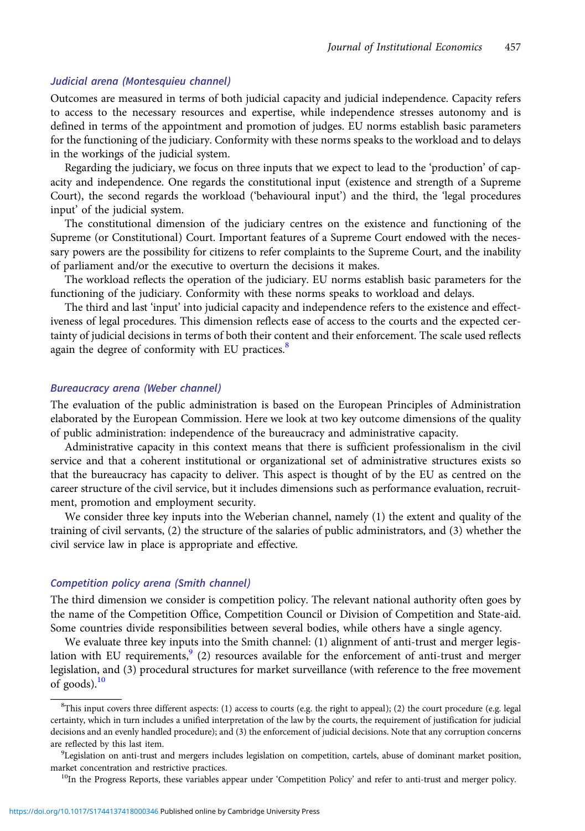### Judicial arena (Montesquieu channel)

Outcomes are measured in terms of both judicial capacity and judicial independence. Capacity refers to access to the necessary resources and expertise, while independence stresses autonomy and is defined in terms of the appointment and promotion of judges. EU norms establish basic parameters for the functioning of the judiciary. Conformity with these norms speaks to the workload and to delays in the workings of the judicial system.

Regarding the judiciary, we focus on three inputs that we expect to lead to the 'production' of capacity and independence. One regards the constitutional input (existence and strength of a Supreme Court), the second regards the workload ('behavioural input') and the third, the 'legal procedures input' of the judicial system.

The constitutional dimension of the judiciary centres on the existence and functioning of the Supreme (or Constitutional) Court. Important features of a Supreme Court endowed with the necessary powers are the possibility for citizens to refer complaints to the Supreme Court, and the inability of parliament and/or the executive to overturn the decisions it makes.

The workload reflects the operation of the judiciary. EU norms establish basic parameters for the functioning of the judiciary. Conformity with these norms speaks to workload and delays.

The third and last 'input' into judicial capacity and independence refers to the existence and effectiveness of legal procedures. This dimension reflects ease of access to the courts and the expected certainty of judicial decisions in terms of both their content and their enforcement. The scale used reflects again the degree of conformity with EU practices.<sup>8</sup>

### Bureaucracy arena (Weber channel)

The evaluation of the public administration is based on the European Principles of Administration elaborated by the European Commission. Here we look at two key outcome dimensions of the quality of public administration: independence of the bureaucracy and administrative capacity.

Administrative capacity in this context means that there is sufficient professionalism in the civil service and that a coherent institutional or organizational set of administrative structures exists so that the bureaucracy has capacity to deliver. This aspect is thought of by the EU as centred on the career structure of the civil service, but it includes dimensions such as performance evaluation, recruitment, promotion and employment security.

We consider three key inputs into the Weberian channel, namely (1) the extent and quality of the training of civil servants, (2) the structure of the salaries of public administrators, and (3) whether the civil service law in place is appropriate and effective.

#### Competition policy arena (Smith channel)

The third dimension we consider is competition policy. The relevant national authority often goes by the name of the Competition Office, Competition Council or Division of Competition and State-aid. Some countries divide responsibilities between several bodies, while others have a single agency.

We evaluate three key inputs into the Smith channel: (1) alignment of anti-trust and merger legislation with EU requirements, $\frac{9}{2}$  (2) resources available for the enforcement of anti-trust and merger legislation, and (3) procedural structures for market surveillance (with reference to the free movement of goods). $10$ 

<sup>8</sup> This input covers three different aspects: (1) access to courts (e.g. the right to appeal); (2) the court procedure (e.g. legal certainty, which in turn includes a unified interpretation of the law by the courts, the requirement of justification for judicial decisions and an evenly handled procedure); and (3) the enforcement of judicial decisions. Note that any corruption concerns are reflected by this last item.

 ${}^{9}$ Legislation on anti-trust and mergers includes legislation on competition, cartels, abuse of dominant market position, market concentration and restrictive practices.<br><sup>10</sup>In the Progress Reports, these variables appear under 'Competition Policy' and refer to anti-trust and merger policy.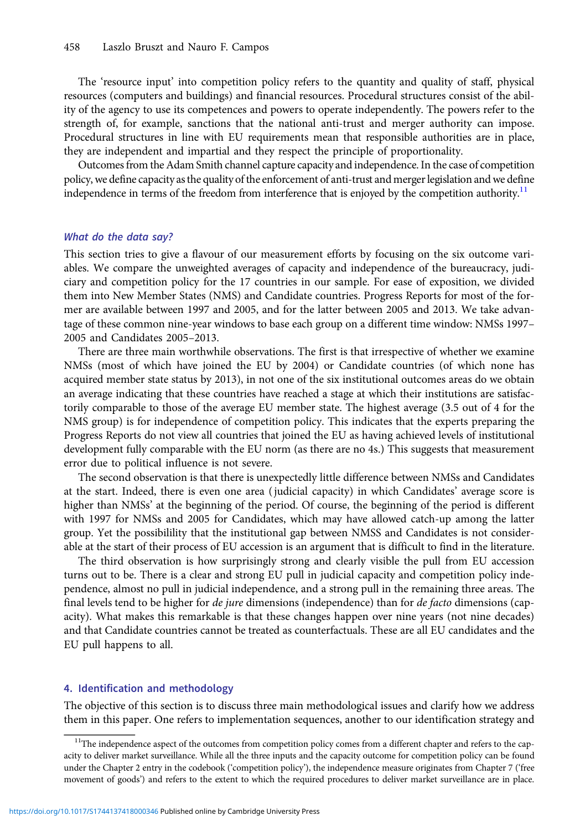<span id="page-9-0"></span>The 'resource input' into competition policy refers to the quantity and quality of staff, physical resources (computers and buildings) and financial resources. Procedural structures consist of the ability of the agency to use its competences and powers to operate independently. The powers refer to the strength of, for example, sanctions that the national anti-trust and merger authority can impose. Procedural structures in line with EU requirements mean that responsible authorities are in place, they are independent and impartial and they respect the principle of proportionality.

Outcomes from the Adam Smith channel capture capacity and independence. In the case of competition policy, we define capacity as the quality of the enforcement of anti-trust and merger legislation and we define independence in terms of the freedom from interference that is enjoyed by the competition authority.<sup>11</sup>

## What do the data say?

This section tries to give a flavour of our measurement efforts by focusing on the six outcome variables. We compare the unweighted averages of capacity and independence of the bureaucracy, judiciary and competition policy for the 17 countries in our sample. For ease of exposition, we divided them into New Member States (NMS) and Candidate countries. Progress Reports for most of the former are available between 1997 and 2005, and for the latter between 2005 and 2013. We take advantage of these common nine-year windows to base each group on a different time window: NMSs 1997– 2005 and Candidates 2005–2013.

There are three main worthwhile observations. The first is that irrespective of whether we examine NMSs (most of which have joined the EU by 2004) or Candidate countries (of which none has acquired member state status by 2013), in not one of the six institutional outcomes areas do we obtain an average indicating that these countries have reached a stage at which their institutions are satisfactorily comparable to those of the average EU member state. The highest average (3.5 out of 4 for the NMS group) is for independence of competition policy. This indicates that the experts preparing the Progress Reports do not view all countries that joined the EU as having achieved levels of institutional development fully comparable with the EU norm (as there are no 4s.) This suggests that measurement error due to political influence is not severe.

The second observation is that there is unexpectedly little difference between NMSs and Candidates at the start. Indeed, there is even one area ( judicial capacity) in which Candidates' average score is higher than NMSs' at the beginning of the period. Of course, the beginning of the period is different with 1997 for NMSs and 2005 for Candidates, which may have allowed catch-up among the latter group. Yet the possibilility that the institutional gap between NMSS and Candidates is not considerable at the start of their process of EU accession is an argument that is difficult to find in the literature.

The third observation is how surprisingly strong and clearly visible the pull from EU accession turns out to be. There is a clear and strong EU pull in judicial capacity and competition policy independence, almost no pull in judicial independence, and a strong pull in the remaining three areas. The final levels tend to be higher for de jure dimensions (independence) than for de facto dimensions (capacity). What makes this remarkable is that these changes happen over nine years (not nine decades) and that Candidate countries cannot be treated as counterfactuals. These are all EU candidates and the EU pull happens to all.

# 4. Identification and methodology

The objective of this section is to discuss three main methodological issues and clarify how we address them in this paper. One refers to implementation sequences, another to our identification strategy and

 $11$ The independence aspect of the outcomes from competition policy comes from a different chapter and refers to the capacity to deliver market surveillance. While all the three inputs and the capacity outcome for competition policy can be found under the Chapter 2 entry in the codebook ('competition policy'), the independence measure originates from Chapter 7 ('free movement of goods') and refers to the extent to which the required procedures to deliver market surveillance are in place.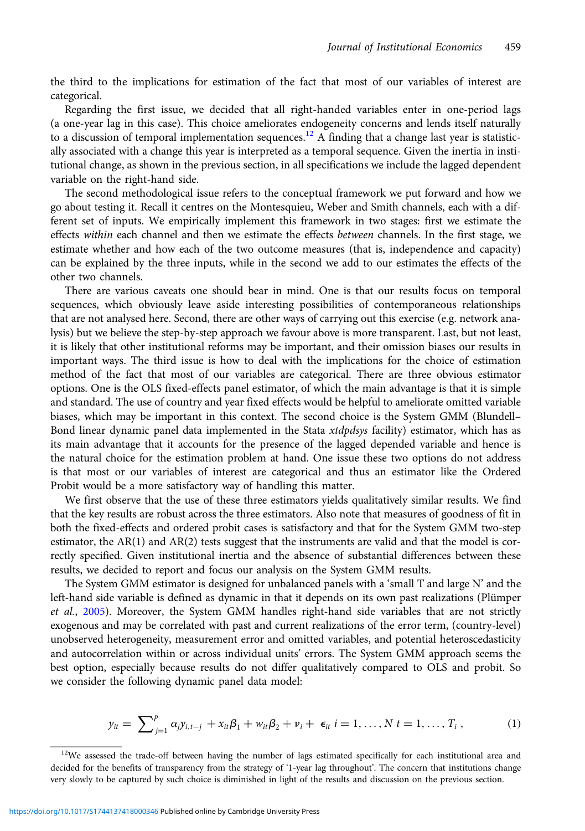the third to the implications for estimation of the fact that most of our variables of interest are categorical.

Regarding the first issue, we decided that all right-handed variables enter in one-period lags (a one-year lag in this case). This choice ameliorates endogeneity concerns and lends itself naturally to a discussion of temporal implementation sequences.<sup>12</sup> A finding that a change last year is statistically associated with a change this year is interpreted as a temporal sequence. Given the inertia in institutional change, as shown in the previous section, in all specifications we include the lagged dependent variable on the right-hand side.

The second methodological issue refers to the conceptual framework we put forward and how we go about testing it. Recall it centres on the Montesquieu, Weber and Smith channels, each with a different set of inputs. We empirically implement this framework in two stages: first we estimate the effects within each channel and then we estimate the effects between channels. In the first stage, we estimate whether and how each of the two outcome measures (that is, independence and capacity) can be explained by the three inputs, while in the second we add to our estimates the effects of the other two channels.

There are various caveats one should bear in mind. One is that our results focus on temporal sequences, which obviously leave aside interesting possibilities of contemporaneous relationships that are not analysed here. Second, there are other ways of carrying out this exercise (e.g. network analysis) but we believe the step-by-step approach we favour above is more transparent. Last, but not least, it is likely that other institutional reforms may be important, and their omission biases our results in important ways. The third issue is how to deal with the implications for the choice of estimation method of the fact that most of our variables are categorical. There are three obvious estimator options. One is the OLS fixed-effects panel estimator, of which the main advantage is that it is simple and standard. The use of country and year fixed effects would be helpful to ameliorate omitted variable biases, which may be important in this context. The second choice is the System GMM (Blundell– Bond linear dynamic panel data implemented in the Stata xtdpdsys facility) estimator, which has as its main advantage that it accounts for the presence of the lagged depended variable and hence is the natural choice for the estimation problem at hand. One issue these two options do not address is that most or our variables of interest are categorical and thus an estimator like the Ordered Probit would be a more satisfactory way of handling this matter.

We first observe that the use of these three estimators yields qualitatively similar results. We find that the key results are robust across the three estimators. Also note that measures of goodness of fit in both the fixed-effects and ordered probit cases is satisfactory and that for the System GMM two-step estimator, the AR(1) and AR(2) tests suggest that the instruments are valid and that the model is correctly specified. Given institutional inertia and the absence of substantial differences between these results, we decided to report and focus our analysis on the System GMM results.

The System GMM estimator is designed for unbalanced panels with a 'small T and large N' and the left-hand side variable is defined as dynamic in that it depends on its own past realizations (Plümper et al., [2005\)](#page-19-0). Moreover, the System GMM handles right-hand side variables that are not strictly exogenous and may be correlated with past and current realizations of the error term, (country-level) unobserved heterogeneity, measurement error and omitted variables, and potential heteroscedasticity and autocorrelation within or across individual units' errors. The System GMM approach seems the best option, especially because results do not differ qualitatively compared to OLS and probit. So we consider the following dynamic panel data model:

$$
y_{it} = \sum_{j=1}^{p} \alpha_j y_{i,t-j} + x_{it} \beta_1 + w_{it} \beta_2 + v_i + \epsilon_{it} \ i = 1, ..., N \ t = 1, ..., T_i , \qquad (1)
$$

 $12$ We assessed the trade-off between having the number of lags estimated specifically for each institutional area and decided for the benefits of transparency from the strategy of '1-year lag throughout'. The concern that institutions change very slowly to be captured by such choice is diminished in light of the results and discussion on the previous section.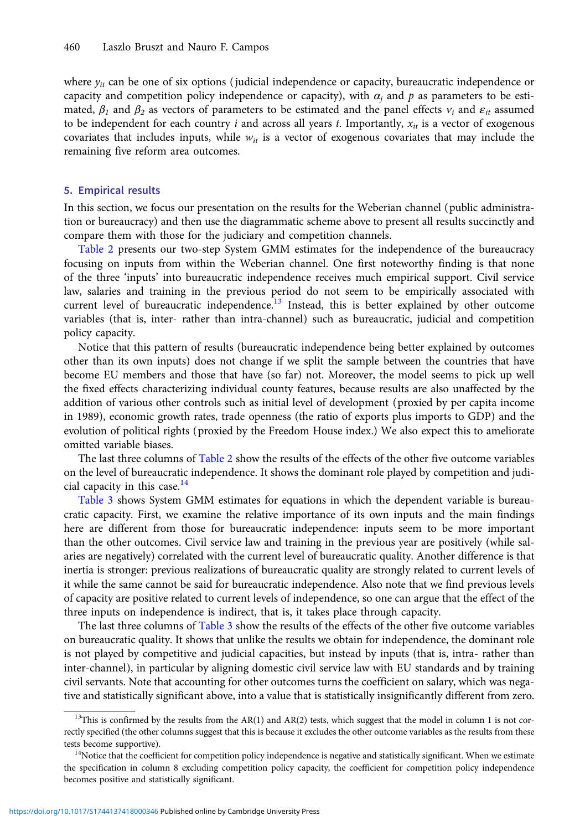<span id="page-11-0"></span>where  $y_{it}$  can be one of six options (judicial independence or capacity, bureaucratic independence or capacity and competition policy independence or capacity), with  $\alpha_i$  and p as parameters to be estimated,  $\beta_1$  and  $\beta_2$  as vectors of parameters to be estimated and the panel effects  $v_i$  and  $\varepsilon_{it}$  assumed to be independent for each country i and across all years t. Importantly,  $x_{it}$  is a vector of exogenous covariates that includes inputs, while  $w_{it}$  is a vector of exogenous covariates that may include the remaining five reform area outcomes.

#### 5. Empirical results

In this section, we focus our presentation on the results for the Weberian channel (public administration or bureaucracy) and then use the diagrammatic scheme above to present all results succinctly and compare them with those for the judiciary and competition channels.

[Table 2](#page-12-0) presents our two-step System GMM estimates for the independence of the bureaucracy focusing on inputs from within the Weberian channel. One first noteworthy finding is that none of the three 'inputs' into bureaucratic independence receives much empirical support. Civil service law, salaries and training in the previous period do not seem to be empirically associated with current level of bureaucratic independence.<sup>13</sup> Instead, this is better explained by other outcome variables (that is, inter- rather than intra-channel) such as bureaucratic, judicial and competition policy capacity.

Notice that this pattern of results (bureaucratic independence being better explained by outcomes other than its own inputs) does not change if we split the sample between the countries that have become EU members and those that have (so far) not. Moreover, the model seems to pick up well the fixed effects characterizing individual county features, because results are also unaffected by the addition of various other controls such as initial level of development (proxied by per capita income in 1989), economic growth rates, trade openness (the ratio of exports plus imports to GDP) and the evolution of political rights (proxied by the Freedom House index.) We also expect this to ameliorate omitted variable biases.

The last three columns of [Table 2](#page-12-0) show the results of the effects of the other five outcome variables on the level of bureaucratic independence. It shows the dominant role played by competition and judicial capacity in this case.<sup>14</sup>

[Table 3](#page-14-0) shows System GMM estimates for equations in which the dependent variable is bureaucratic capacity. First, we examine the relative importance of its own inputs and the main findings here are different from those for bureaucratic independence: inputs seem to be more important than the other outcomes. Civil service law and training in the previous year are positively (while salaries are negatively) correlated with the current level of bureaucratic quality. Another difference is that inertia is stronger: previous realizations of bureaucratic quality are strongly related to current levels of it while the same cannot be said for bureaucratic independence. Also note that we find previous levels of capacity are positive related to current levels of independence, so one can argue that the effect of the three inputs on independence is indirect, that is, it takes place through capacity.

The last three columns of [Table 3](#page-14-0) show the results of the effects of the other five outcome variables on bureaucratic quality. It shows that unlike the results we obtain for independence, the dominant role is not played by competitive and judicial capacities, but instead by inputs (that is, intra- rather than inter-channel), in particular by aligning domestic civil service law with EU standards and by training civil servants. Note that accounting for other outcomes turns the coefficient on salary, which was negative and statistically significant above, into a value that is statistically insignificantly different from zero.

 $13$ This is confirmed by the results from the AR(1) and AR(2) tests, which suggest that the model in column 1 is not correctly specified (the other columns suggest that this is because it excludes the other outcome variables as the results from these tests become supportive).<br><sup>14</sup>Notice that the coefficient for competition policy independence is negative and statistically significant. When we estimate

the specification in column 8 excluding competition policy capacity, the coefficient for competition policy independence becomes positive and statistically significant.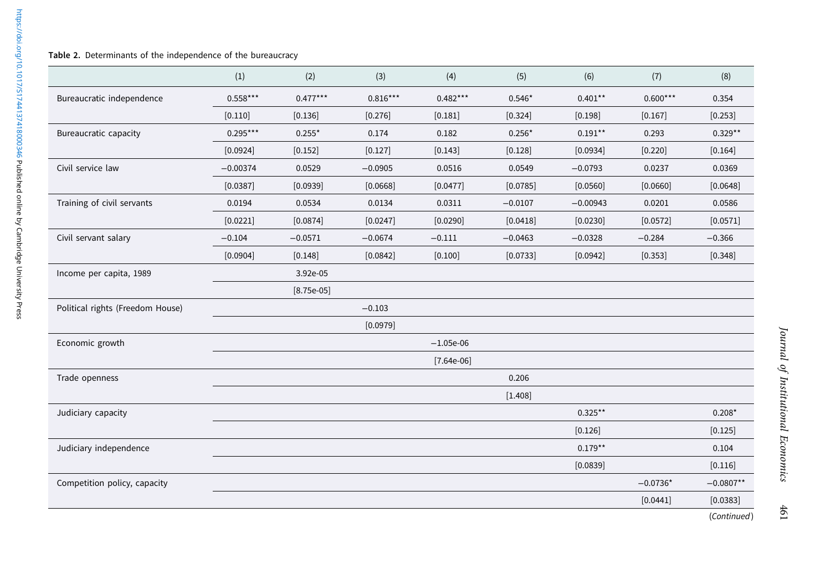#### <span id="page-12-0"></span>Table 2. Determinants of the independence of the bureaucracy

|                                  | (1)        | (2)          | (3)        | (4)          | (5)       | (6)        | (7)        | (8)         |
|----------------------------------|------------|--------------|------------|--------------|-----------|------------|------------|-------------|
| Bureaucratic independence        | $0.558***$ | $0.477***$   | $0.816***$ | $0.482***$   | $0.546*$  | $0.401***$ | $0.600***$ | 0.354       |
|                                  | [0.110]    | [0.136]      | $[0.276]$  | [0.181]      | [0.324]   | $[0.198]$  | $[0.167]$  | [0.253]     |
| Bureaucratic capacity            | $0.295***$ | $0.255*$     | 0.174      | 0.182        | $0.256*$  | $0.191***$ | 0.293      | $0.329**$   |
|                                  | [0.0924]   | $[0.152]$    | [0.127]    | [0.143]      | [0.128]   | [0.0934]   | [0.220]    | [0.164]     |
| Civil service law                | $-0.00374$ | 0.0529       | $-0.0905$  | 0.0516       | 0.0549    | $-0.0793$  | 0.0237     | 0.0369      |
|                                  | [0.0387]   | [0.0939]     | [0.0668]   | [0.0477]     | [0.0785]  | [0.0560]   | [0.0660]   | [0.0648]    |
| Training of civil servants       | 0.0194     | 0.0534       | 0.0134     | 0.0311       | $-0.0107$ | $-0.00943$ | 0.0201     | 0.0586      |
|                                  | [0.0221]   | [0.0874]     | [0.0247]   | [0.0290]     | [0.0418]  | [0.0230]   | [0.0572]   | [0.0571]    |
| Civil servant salary             | $-0.104$   | $-0.0571$    | $-0.0674$  | $-0.111$     | $-0.0463$ | $-0.0328$  | $-0.284$   | $-0.366$    |
|                                  | [0.0904]   | [0.148]      | [0.0842]   | [0.100]      | [0.0733]  | [0.0942]   | [0.353]    | [0.348]     |
| Income per capita, 1989          |            | 3.92e-05     |            |              |           |            |            |             |
|                                  |            | $[8.75e-05]$ |            |              |           |            |            |             |
| Political rights (Freedom House) |            |              | $-0.103$   |              |           |            |            |             |
|                                  |            |              | [0.0979]   |              |           |            |            |             |
| Economic growth                  |            |              |            | $-1.05e-06$  |           |            |            |             |
|                                  |            |              |            | $[7.64e-06]$ |           |            |            |             |
| Trade openness                   |            |              |            |              | 0.206     |            |            |             |
|                                  |            |              |            |              | [1.408]   |            |            |             |
| Judiciary capacity               |            |              |            |              |           | $0.325***$ |            | $0.208*$    |
|                                  |            |              |            |              |           | [0.126]    |            | [0.125]     |
| Judiciary independence           |            |              |            |              |           | $0.179**$  |            | 0.104       |
|                                  |            |              |            |              |           | [0.0839]   |            | [0.116]     |
| Competition policy, capacity     |            |              |            |              |           |            | $-0.0736*$ | $-0.0807**$ |
|                                  |            |              |            |              |           |            | [0.0441]   | [0.0383]    |
|                                  |            |              |            |              |           |            |            |             |

(Continued)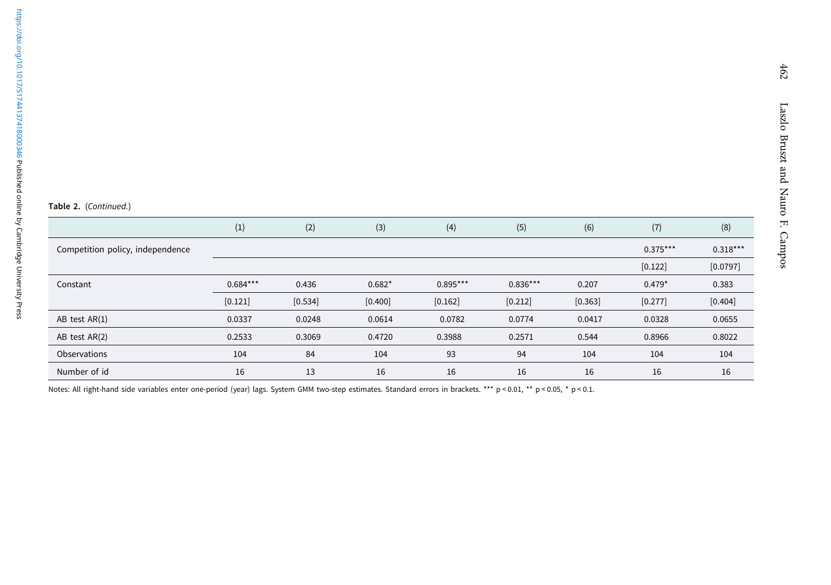#### Table 2. (Continued.)

|                                  | (1)        | (2)     | (3)      | (4)        | (5)        | (6)     | (7)        | (8)        |
|----------------------------------|------------|---------|----------|------------|------------|---------|------------|------------|
| Competition policy, independence |            |         |          |            |            |         | $0.375***$ | $0.318***$ |
|                                  |            |         |          |            |            |         | [0.122]    | [0.0797]   |
| Constant                         | $0.684***$ | 0.436   | $0.682*$ | $0.895***$ | $0.836***$ | 0.207   | $0.479*$   | 0.383      |
|                                  | [0.121]    | [0.534] | [0.400]  | [0.162]    | [0.212]    | [0.363] | [0.277]    | [0.404]    |
| AB test $AR(1)$                  | 0.0337     | 0.0248  | 0.0614   | 0.0782     | 0.0774     | 0.0417  | 0.0328     | 0.0655     |
| AB test $AR(2)$                  | 0.2533     | 0.3069  | 0.4720   | 0.3988     | 0.2571     | 0.544   | 0.8966     | 0.8022     |
| Observations                     | 104        | 84      | 104      | 93         | 94         | 104     | 104        | 104        |
| Number of id                     | 16         | 13      | 16       | 16         | 16         | 16      | 16         | 16         |

Notes: All right-hand side variables enter one-period (year) lags. System GMM two-step estimates. Standard errors in brackets. \*\*\* p < 0.01, \*\* p < 0.05, \* p < 0.1.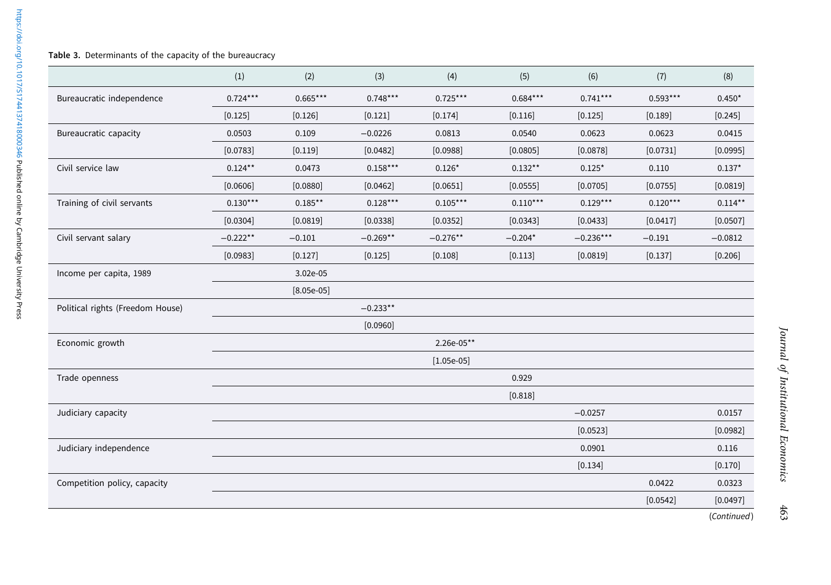#### <span id="page-14-0"></span>Table 3. Determinants of the capacity of the bureaucracy

|                                  | (1)        | (2)          | (3)        | (4)          | (5)        | (6)         | (7)        | (8)         |
|----------------------------------|------------|--------------|------------|--------------|------------|-------------|------------|-------------|
| Bureaucratic independence        | $0.724***$ | $0.665***$   | $0.748***$ | $0.725***$   | $0.684***$ | $0.741***$  | $0.593***$ | $0.450*$    |
|                                  | [0.125]    | $[0.126]$    | $[0.121]$  | [0.174]      | [0.116]    | [0.125]     | $[0.189]$  | [0.245]     |
| Bureaucratic capacity            | 0.0503     | 0.109        | $-0.0226$  | 0.0813       | 0.0540     | 0.0623      | 0.0623     | 0.0415      |
|                                  | [0.0783]   | $[0.119]$    | [0.0482]   | [0.0988]     | [0.0805]   | [0.0878]    | [0.0731]   | [0.0995]    |
| Civil service law                | $0.124***$ | 0.0473       | $0.158***$ | $0.126*$     | $0.132***$ | $0.125*$    | 0.110      | $0.137*$    |
|                                  | [0.0606]   | [0.0880]     | [0.0462]   | [0.0651]     | [0.0555]   | [0.0705]    | [0.0755]   | [0.0819]    |
| Training of civil servants       | $0.130***$ | $0.185***$   | $0.128***$ | $0.105***$   | $0.110***$ | $0.129***$  | $0.120***$ | $0.114***$  |
|                                  | [0.0304]   | [0.0819]     | [0.0338]   | [0.0352]     | [0.0343]   | [0.0433]    | [0.0417]   | [0.0507]    |
| Civil servant salary             | $-0.222**$ | $-0.101$     | $-0.269**$ | $-0.276**$   | $-0.204*$  | $-0.236***$ | $-0.191$   | $-0.0812$   |
|                                  | [0.0983]   | [0.127]      | $[0.125]$  | [0.108]      | $[0.113]$  | $[0.0819]$  | [0.137]    | $[0.206]$   |
| Income per capita, 1989          |            | 3.02e-05     |            |              |            |             |            |             |
|                                  |            | $[8.05e-05]$ |            |              |            |             |            |             |
| Political rights (Freedom House) |            |              | $-0.233**$ |              |            |             |            |             |
|                                  |            |              | [0.0960]   |              |            |             |            |             |
| Economic growth                  |            |              |            | 2.26e-05**   |            |             |            |             |
|                                  |            |              |            | $[1.05e-05]$ |            |             |            |             |
| Trade openness                   |            |              |            |              | 0.929      |             |            |             |
|                                  |            |              |            |              | $[0.818]$  |             |            |             |
| Judiciary capacity               |            |              |            |              |            | $-0.0257$   |            | 0.0157      |
|                                  |            |              |            |              |            | [0.0523]    |            | [0.0982]    |
| Judiciary independence           |            |              |            |              |            | 0.0901      |            | 0.116       |
|                                  |            |              |            |              |            | $[0.134]$   |            | $[0.170]$   |
| Competition policy, capacity     |            |              |            |              |            |             | 0.0422     | 0.0323      |
|                                  |            |              |            |              |            |             | [0.0542]   | [0.0497]    |
|                                  |            |              |            |              |            |             |            | (Continued) |

(Continued)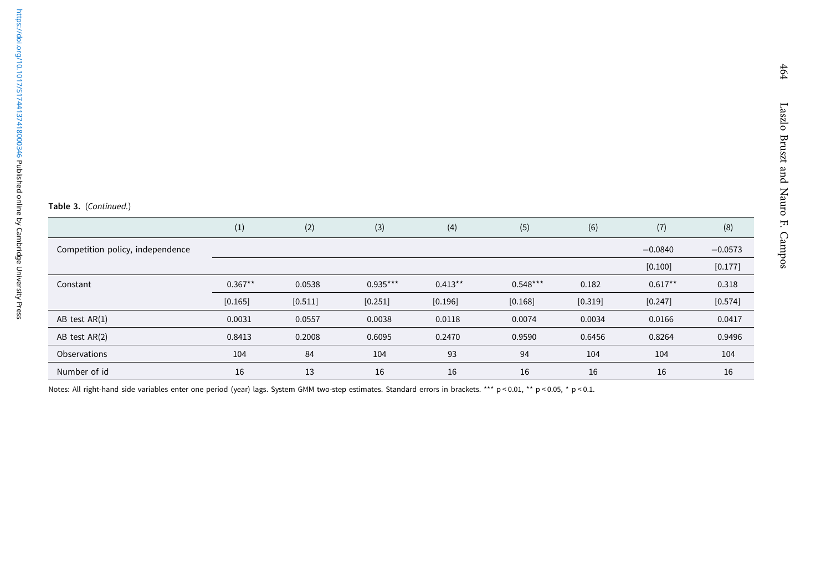|                                  | (1)       | (2)       | (3)        | (4)       | (5)        | (6)     | (7)       | (8)       |
|----------------------------------|-----------|-----------|------------|-----------|------------|---------|-----------|-----------|
| Competition policy, independence |           |           |            |           |            |         | $-0.0840$ | $-0.0573$ |
|                                  |           |           |            |           |            |         | $[0.100]$ | $[0.177]$ |
| Constant                         | $0.367**$ | 0.0538    | $0.935***$ | $0.413**$ | $0.548***$ | 0.182   | $0.617**$ | 0.318     |
|                                  | [0.165]   | $[0.511]$ | [0.251]    | [0.196]   | [0.168]    | [0.319] | [0.247]   | $[0.574]$ |
| AB test $AR(1)$                  | 0.0031    | 0.0557    | 0.0038     | 0.0118    | 0.0074     | 0.0034  | 0.0166    | 0.0417    |
| AB test $AR(2)$                  | 0.8413    | 0.2008    | 0.6095     | 0.2470    | 0.9590     | 0.6456  | 0.8264    | 0.9496    |
| Observations                     | 104       | 84        | 104        | 93        | 94         | 104     | 104       | 104       |
| Number of id                     | 16        | 13        | 16         | 16        | 16         | 16      | 16        | 16        |

Notes: All right-hand side variables enter one period (year) lags. System GMM two-step estimates. Standard errors in brackets. \*\*\* p < 0.01, \*\* p < 0.05, \* p < 0.1.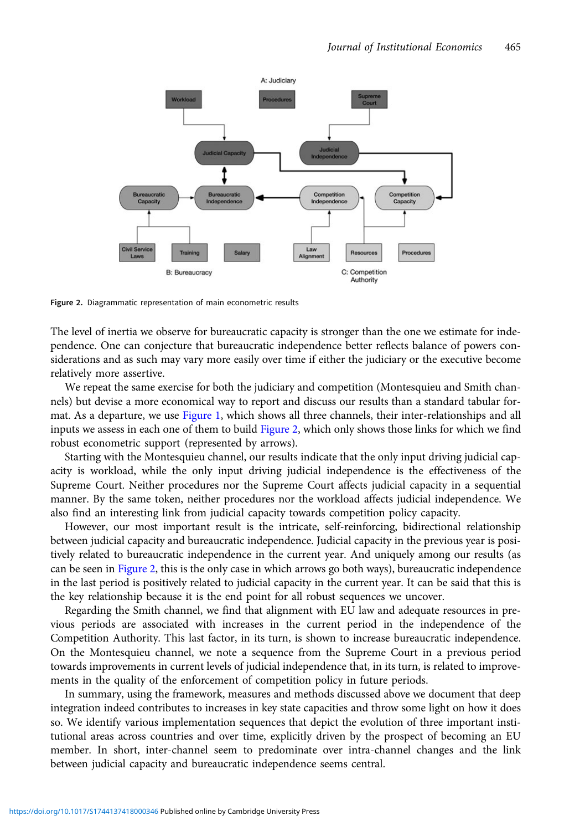

Figure 2. Diagrammatic representation of main econometric results

The level of inertia we observe for bureaucratic capacity is stronger than the one we estimate for independence. One can conjecture that bureaucratic independence better reflects balance of powers considerations and as such may vary more easily over time if either the judiciary or the executive become relatively more assertive.

We repeat the same exercise for both the judiciary and competition (Montesquieu and Smith channels) but devise a more economical way to report and discuss our results than a standard tabular format. As a departure, we use [Figure 1](#page-4-0), which shows all three channels, their inter-relationships and all inputs we assess in each one of them to build Figure 2, which only shows those links for which we find robust econometric support (represented by arrows).

Starting with the Montesquieu channel, our results indicate that the only input driving judicial capacity is workload, while the only input driving judicial independence is the effectiveness of the Supreme Court. Neither procedures nor the Supreme Court affects judicial capacity in a sequential manner. By the same token, neither procedures nor the workload affects judicial independence. We also find an interesting link from judicial capacity towards competition policy capacity.

However, our most important result is the intricate, self-reinforcing, bidirectional relationship between judicial capacity and bureaucratic independence. Judicial capacity in the previous year is positively related to bureaucratic independence in the current year. And uniquely among our results (as can be seen in Figure 2, this is the only case in which arrows go both ways), bureaucratic independence in the last period is positively related to judicial capacity in the current year. It can be said that this is the key relationship because it is the end point for all robust sequences we uncover.

Regarding the Smith channel, we find that alignment with EU law and adequate resources in previous periods are associated with increases in the current period in the independence of the Competition Authority. This last factor, in its turn, is shown to increase bureaucratic independence. On the Montesquieu channel, we note a sequence from the Supreme Court in a previous period towards improvements in current levels of judicial independence that, in its turn, is related to improvements in the quality of the enforcement of competition policy in future periods.

In summary, using the framework, measures and methods discussed above we document that deep integration indeed contributes to increases in key state capacities and throw some light on how it does so. We identify various implementation sequences that depict the evolution of three important institutional areas across countries and over time, explicitly driven by the prospect of becoming an EU member. In short, inter-channel seem to predominate over intra-channel changes and the link between judicial capacity and bureaucratic independence seems central.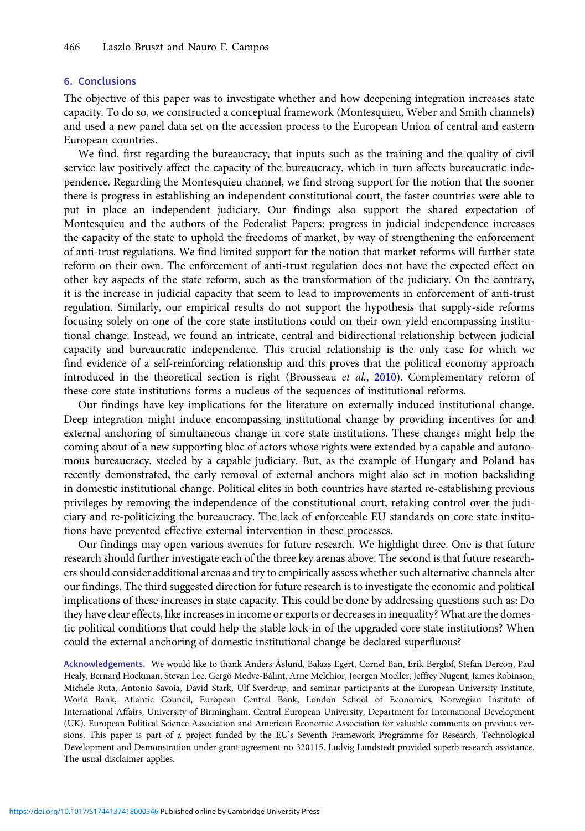# <span id="page-17-0"></span>6. Conclusions

The objective of this paper was to investigate whether and how deepening integration increases state capacity. To do so, we constructed a conceptual framework (Montesquieu, Weber and Smith channels) and used a new panel data set on the accession process to the European Union of central and eastern European countries.

We find, first regarding the bureaucracy, that inputs such as the training and the quality of civil service law positively affect the capacity of the bureaucracy, which in turn affects bureaucratic independence. Regarding the Montesquieu channel, we find strong support for the notion that the sooner there is progress in establishing an independent constitutional court, the faster countries were able to put in place an independent judiciary. Our findings also support the shared expectation of Montesquieu and the authors of the Federalist Papers: progress in judicial independence increases the capacity of the state to uphold the freedoms of market, by way of strengthening the enforcement of anti-trust regulations. We find limited support for the notion that market reforms will further state reform on their own. The enforcement of anti-trust regulation does not have the expected effect on other key aspects of the state reform, such as the transformation of the judiciary. On the contrary, it is the increase in judicial capacity that seem to lead to improvements in enforcement of anti-trust regulation. Similarly, our empirical results do not support the hypothesis that supply-side reforms focusing solely on one of the core state institutions could on their own yield encompassing institutional change. Instead, we found an intricate, central and bidirectional relationship between judicial capacity and bureaucratic independence. This crucial relationship is the only case for which we find evidence of a self-reinforcing relationship and this proves that the political economy approach introduced in the theoretical section is right (Brousseau et al.,  $2010$ ). Complementary reform of these core state institutions forms a nucleus of the sequences of institutional reforms.

Our findings have key implications for the literature on externally induced institutional change. Deep integration might induce encompassing institutional change by providing incentives for and external anchoring of simultaneous change in core state institutions. These changes might help the coming about of a new supporting bloc of actors whose rights were extended by a capable and autonomous bureaucracy, steeled by a capable judiciary. But, as the example of Hungary and Poland has recently demonstrated, the early removal of external anchors might also set in motion backsliding in domestic institutional change. Political elites in both countries have started re-establishing previous privileges by removing the independence of the constitutional court, retaking control over the judiciary and re-politicizing the bureaucracy. The lack of enforceable EU standards on core state institutions have prevented effective external intervention in these processes.

Our findings may open various avenues for future research. We highlight three. One is that future research should further investigate each of the three key arenas above. The second is that future researchers should consider additional arenas and try to empirically assess whether such alternative channels alter our findings. The third suggested direction for future research is to investigate the economic and political implications of these increases in state capacity. This could be done by addressing questions such as: Do they have clear effects, like increases in income or exports or decreases in inequality? What are the domestic political conditions that could help the stable lock-in of the upgraded core state institutions? When could the external anchoring of domestic institutional change be declared superfluous?

Acknowledgements. We would like to thank Anders Åslund, Balazs Egert, Cornel Ban, Erik Berglof, Stefan Dercon, Paul Healy, Bernard Hoekman, Stevan Lee, Gergö Medve-Bálint, Arne Melchior, Joergen Moeller, Jeffrey Nugent, James Robinson, Michele Ruta, Antonio Savoia, David Stark, Ulf Sverdrup, and seminar participants at the European University Institute, World Bank, Atlantic Council, European Central Bank, London School of Economics, Norwegian Institute of International Affairs, University of Birmingham, Central European University, Department for International Development (UK), European Political Science Association and American Economic Association for valuable comments on previous versions. This paper is part of a project funded by the EU's Seventh Framework Programme for Research, Technological Development and Demonstration under grant agreement no 320115. Ludvig Lundstedt provided superb research assistance. The usual disclaimer applies.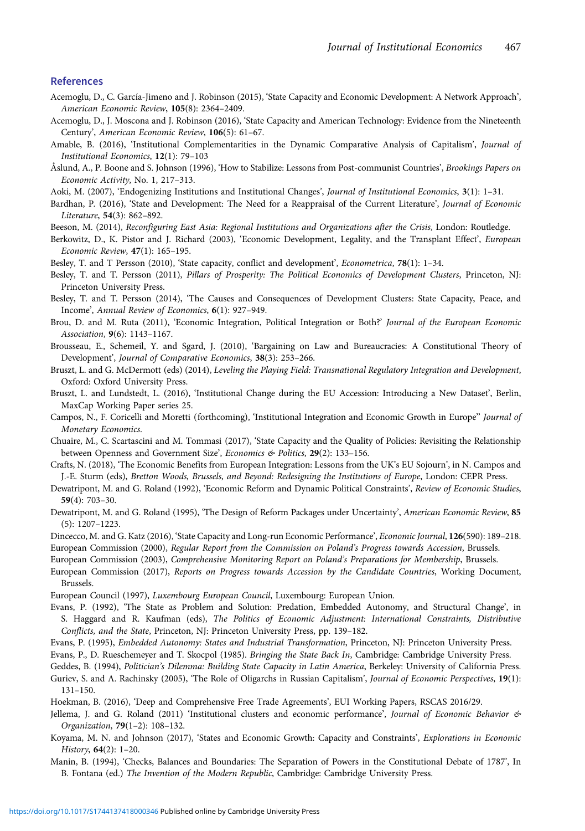#### <span id="page-18-0"></span>References

- Acemoglu, D., C. García-Jimeno and J. Robinson (2015), 'State Capacity and Economic Development: A Network Approach', American Economic Review, 105(8): 2364–2409.
- Acemoglu, D., J. Moscona and J. Robinson (2016), 'State Capacity and American Technology: Evidence from the Nineteenth Century', American Economic Review, 106(5): 61–67.
- Amable, B. (2016), 'Institutional Complementarities in the Dynamic Comparative Analysis of Capitalism', Journal of Institutional Economics, 12(1): 79–103
- Åslund, A., P. Boone and S. Johnson (1996), 'How to Stabilize: Lessons from Post-communist Countries', *Brookings Papers on* Economic Activity, No. 1, 217–313.
- Aoki, M. (2007), 'Endogenizing Institutions and Institutional Changes', Journal of Institutional Economics, 3(1): 1–31.
- Bardhan, P. (2016), 'State and Development: The Need for a Reappraisal of the Current Literature', Journal of Economic Literature, 54(3): 862–892.
- Beeson, M. (2014), Reconfiguring East Asia: Regional Institutions and Organizations after the Crisis, London: Routledge.
- Berkowitz, D., K. Pistor and J. Richard (2003), 'Economic Development, Legality, and the Transplant Effect', European Economic Review, 47(1): 165–195.
- Besley, T. and T Persson (2010), 'State capacity, conflict and development', *Econometrica*, **78**(1): 1-34.
- Besley, T. and T. Persson (2011), Pillars of Prosperity: The Political Economics of Development Clusters, Princeton, NJ: Princeton University Press.
- Besley, T. and T. Persson (2014), 'The Causes and Consequences of Development Clusters: State Capacity, Peace, and Income', Annual Review of Economics, 6(1): 927–949.
- Brou, D. and M. Ruta (2011), 'Economic Integration, Political Integration or Both?' Journal of the European Economic Association, 9(6): 1143–1167.
- Brousseau, E., Schemeil, Y. and Sgard, J. (2010), 'Bargaining on Law and Bureaucracies: A Constitutional Theory of Development', Journal of Comparative Economics, 38(3): 253–266.
- Bruszt, L. and G. McDermott (eds) (2014), Leveling the Playing Field: Transnational Regulatory Integration and Development, Oxford: Oxford University Press.
- Bruszt, L. and Lundstedt, L. (2016), 'Institutional Change during the EU Accession: Introducing a New Dataset', Berlin, MaxCap Working Paper series 25.
- Campos, N., F. Coricelli and Moretti (forthcoming), 'Institutional Integration and Economic Growth in Europe'' Journal of Monetary Economics.
- Chuaire, M., C. Scartascini and M. Tommasi (2017), 'State Capacity and the Quality of Policies: Revisiting the Relationship between Openness and Government Size', Economics & Politics, 29(2): 133-156.
- Crafts, N. (2018), 'The Economic Benefits from European Integration: Lessons from the UK's EU Sojourn', in N. Campos and J.-E. Sturm (eds), Bretton Woods, Brussels, and Beyond: Redesigning the Institutions of Europe, London: CEPR Press.
- Dewatripont, M. and G. Roland (1992), 'Economic Reform and Dynamic Political Constraints', Review of Economic Studies, 59(4): 703–30.
- Dewatripont, M. and G. Roland (1995), 'The Design of Reform Packages under Uncertainty', American Economic Review, 85 (5): 1207–1223.
- Dincecco, M. and G. Katz (2016), 'State Capacity and Long-run Economic Performance', Economic Journal, 126(590): 189–218.
- European Commission (2000), Regular Report from the Commission on Poland's Progress towards Accession, Brussels.
- European Commission (2003), Comprehensive Monitoring Report on Poland's Preparations for Membership, Brussels.
- European Commission (2017), Reports on Progress towards Accession by the Candidate Countries, Working Document, Brussels.
- European Council (1997), Luxembourg European Council, Luxembourg: European Union.
- Evans, P. (1992), 'The State as Problem and Solution: Predation, Embedded Autonomy, and Structural Change', in S. Haggard and R. Kaufman (eds), The Politics of Economic Adjustment: International Constraints, Distributive Conflicts, and the State, Princeton, NJ: Princeton University Press, pp. 139–182.
- Evans, P. (1995), Embedded Autonomy: States and Industrial Transformation, Princeton, NJ: Princeton University Press.
- Evans, P., D. Rueschemeyer and T. Skocpol (1985). Bringing the State Back In, Cambridge: Cambridge University Press.
- Geddes, B. (1994), Politician's Dilemma: Building State Capacity in Latin America, Berkeley: University of California Press.
- Guriev, S. and A. Rachinsky (2005), 'The Role of Oligarchs in Russian Capitalism', Journal of Economic Perspectives, 19(1): 131–150.
- Hoekman, B. (2016), 'Deep and Comprehensive Free Trade Agreements', EUI Working Papers, RSCAS 2016/29.
- Jellema, J. and G. Roland (2011) 'Institutional clusters and economic performance', Journal of Economic Behavior & Organization, 79(1–2): 108–132.
- Koyama, M. N. and Johnson (2017), 'States and Economic Growth: Capacity and Constraints', Explorations in Economic History, 64(2): 1–20.
- Manin, B. (1994), 'Checks, Balances and Boundaries: The Separation of Powers in the Constitutional Debate of 1787', In B. Fontana (ed.) The Invention of the Modern Republic, Cambridge: Cambridge University Press.